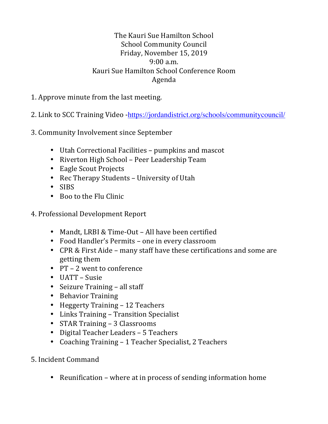## The Kauri Sue Hamilton School School Community Council Friday, November 15, 2019  $9:00 a.m.$ Kauri Sue Hamilton School Conference Room Agenda

- 1. Approve minute from the last meeting.
- 2. Link to SCC Training Video -https://jordandistrict.org/schools/communitycouncil/
- 3. Community Involvement since September
	- Utah Correctional Facilities pumpkins and mascot
	- Riverton High School Peer Leadership Team
	- Eagle Scout Projects
	- Rec Therapy Students University of Utah
	- SIBS
	- Boo to the Flu Clinic
- 4. Professional Development Report
	- Mandt, LRBI & Time-Out All have been certified
	- Food Handler's Permits one in every classroom
	- CPR & First Aide many staff have these certifications and some are getting them
	- $PT 2$  went to conference
	- $\bullet$  UATT Susie
	- Seizure Training  $-$  all staff
	- Behavior Training
	- Heggerty Training 12 Teachers
	- Links Training Transition Specialist
	- STAR Training 3 Classrooms
	- Digital Teacher Leaders 5 Teachers
	- Coaching Training 1 Teacher Specialist, 2 Teachers
- 5. Incident Command
	- Reunification where at in process of sending information home